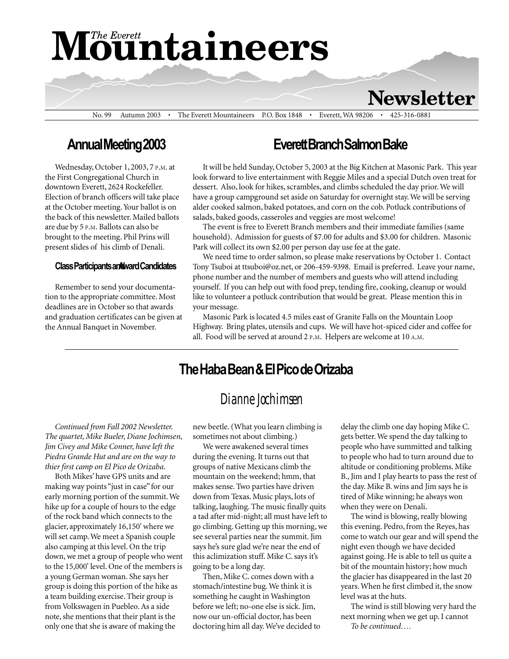# **Mountaineers**

**Newsletter** 

No. 99 Autumn 2003 • The Everett Mountaineers P.O. Box 1848 • Everett, WA 98206 • 425-316-0881

### Annual Meeting 2003

Wednesday, October 1, 2003, 7 P.M. at the First Congregational Church in downtown Everett, 2624 Rockefeller. Election of branch officers will take place at the October meeting. Your ballot is on the back of this newsletter. Mailed ballots are due by 5 P.M. Ballots can also be brought to the meeting. Phil Prins will present slides of his climb of Denali.

#### **Class Participants analward Candidates**

Remember to send your documentation to the appropriate committee. Most deadlines are in October so that awards and graduation certificates can be given at the Annual Banquet in November.

#### Everett Branch Salmon Bake

It will be held Sunday, October 5, 2003 at the Big Kitchen at Masonic Park. This year look forward to live entertainment with Reggie Miles and a special Dutch oven treat for dessert. Also, look for hikes, scrambles, and climbs scheduled the day prior. We will have a group campground set aside on Saturday for overnight stay. We will be serving alder cooked salmon, baked potatoes, and corn on the cob. Potluck contributions of salads, baked goods, casseroles and veggies are most welcome!

The event is free to Everett Branch members and their immediate families (same household). Admission for guests of \$7.00 for adults and \$3.00 for children. Masonic Park will collect its own \$2.00 per person day use fee at the gate.

We need time to order salmon, so please make reservations by October 1. Contact Tony Tsuboi at ttsuboi@oz.net, or 206-459-9398. Email is preferred. Leave your name, phone number and the number of members and guests who will attend including yourself. If you can help out with food prep, tending fire, cooking, cleanup or would like to volunteer a potluck contribution that would be great. Please mention this in your message.

Masonic Park is located 4.5 miles east of Granite Falls on the Mountain Loop Highway. Bring plates, utensils and cups. We will have hot-spiced cider and coffee for all. Food will be served at around 2 P.M. Helpers are welcome at 10 A.M.

### The Haba Bean & El Pico de Orizaba

#### *Dianne Jochimsen*

Continued from Fall 2002 Newsletter. The quartet, Mike Bueler, Diane Jochimsen, Jim Civey and Mike Conner, have left the Piedra Grande Hut and are on the way to thier first camp on El Pico de Orizaba.

Both Mikes' have GPS units and are making way points "just in case" for our early morning portion of the summit. We hike up for a couple of hours to the edge of the rock band which connects to the glacier, approximately 16,150' where we will set camp. We meet a Spanish couple also camping at this level. On the trip down, we met a group of people who went to the 15,000' level. One of the members is a young German woman. She says her group is doing this portion of the hike as a team building exercise. Their group is from Volkswagen in Puebleo. As a side note, she mentions that their plant is the only one that she is aware of making the

new beetle. (What you learn climbing is sometimes not about climbing.)

We were awakened several times during the evening. It turns out that groups of native Mexicans climb the mountain on the weekend; hmm, that makes sense. Two parties have driven down from Texas. Music plays, lots of talking, laughing. The music finally quits a tad after mid-night; all must have left to go climbing. Getting up this morning, we see several parties near the summit. Jim says he's sure glad we're near the end of this aclimization stuff. Mike C. says it's going to be a long day.

Then, Mike C. comes down with a stomach/intestine bug. We think it is something he caught in Washington before we left; no-one else is sick. Jim, now our un-official doctor, has been doctoring him all day. We've decided to To be continued....

delay the climb one day hoping Mike C. gets better. We spend the day talking to people who have summitted and talking to people who had to turn around due to altitude or conditioning problems. Mike B., Jim and I play hearts to pass the rest of the day. Mike B. wins and Jim says he is tired of Mike winning; he always won when they were on Denali.

The wind is blowing, really blowing this evening. Pedro, from the Reyes, has come to watch our gear and will spend the night even though we have decided against going. He is able to tell us quite a bit of the mountain history; how much the glacier has disappeared in the last 20 years. When he first climbed it, the snow level was at the huts.

The wind is still blowing very hard the next morning when we get up. I cannot